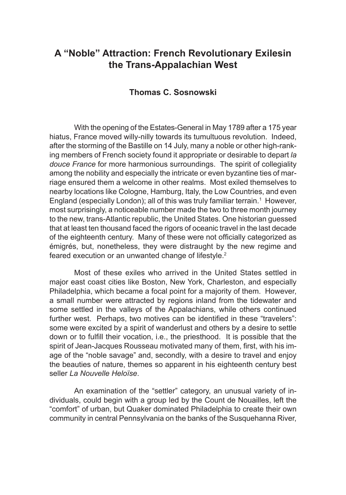## **A "Noble" Attraction: French Revolutionary Exilesin the Trans-Appalachian West**

## **Thomas C. Sosnowski**

With the opening of the Estates-General in May 1789 after a 175 year hiatus, France moved willy-nilly towards its tumultuous revolution. Indeed, after the storming of the Bastille on 14 July, many a noble or other high-ranking members of French society found it appropriate or desirable to depart *la douce France* for more harmonious surroundings. The spirit of collegiality among the nobility and especially the intricate or even byzantine ties of marriage ensured them a welcome in other realms. Most exiled themselves to nearby locations like Cologne, Hamburg, Italy, the Low Countries, and even England (especially London); all of this was truly familiar terrain.<sup>1</sup> However, most surprisingly, a noticeable number made the two to three month journey to the new, trans-Atlantic republic, the United States. One historian guessed that at least ten thousand faced the rigors of oceanic travel in the last decade of the eighteenth century. Many of these were not officially categorized as émigrés, but, nonetheless, they were distraught by the new regime and feared execution or an unwanted change of lifestyle.<sup>2</sup>

Most of these exiles who arrived in the United States settled in major east coast cities like Boston, New York, Charleston, and especially Philadelphia, which became a focal point for a majority of them. However, a small number were attracted by regions inland from the tidewater and some settled in the valleys of the Appalachians, while others continued further west. Perhaps, two motives can be identified in these "travelers": some were excited by a spirit of wanderlust and others by a desire to settle down or to fulfill their vocation, i.e., the priesthood. It is possible that the spirit of Jean-Jacques Rousseau motivated many of them, first, with his image of the "noble savage" and, secondly, with a desire to travel and enjoy the beauties of nature, themes so apparent in his eighteenth century best seller *La Nouvelle Heloïse*.

An examination of the "settler" category, an unusual variety of individuals, could begin with a group led by the Count de Nouailles, left the "comfort" of urban, but Quaker dominated Philadelphia to create their own community in central Pennsylvania on the banks of the Susquehanna River,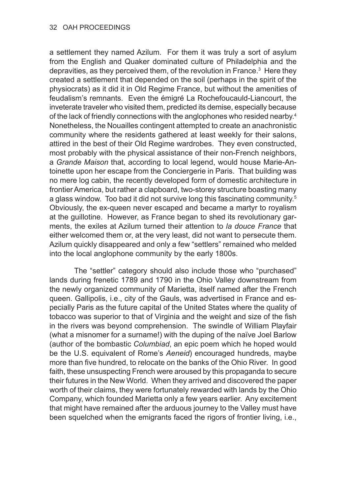a settlement they named Azilum. For them it was truly a sort of asylum from the English and Quaker dominated culture of Philadelphia and the depravities, as they perceived them, of the revolution in France.<sup>3</sup> Here they created a settlement that depended on the soil (perhaps in the spirit of the physiocrats) as it did it in Old Regime France, but without the amenities of feudalism's remnants. Even the émigré La Rochefoucauld-Liancourt, the inveterate traveler who visited them, predicted its demise, especially because of the lack of friendly connections with the anglophones who resided nearby.<sup>4</sup> Nonetheless, the Nouailles contingent attempted to create an anachronistic community where the residents gathered at least weekly for their salons, attired in the best of their Old Regime wardrobes. They even constructed, most probably with the physical assistance of their non-French neighbors, a *Grande Maison* that, according to local legend, would house Marie-Antoinette upon her escape from the Conciergerie in Paris. That building was no mere log cabin, the recently developed form of domestic architecture in frontier America, but rather a clapboard, two-storey structure boasting many a glass window. Too bad it did not survive long this fascinating community.<sup>5</sup> Obviously, the ex-queen never escaped and became a martyr to royalism at the guillotine. However, as France began to shed its revolutionary garments, the exiles at Azilum turned their attention to *la douce France* that either welcomed them or, at the very least, did not want to persecute them. Azilum quickly disappeared and only a few "settlers" remained who melded into the local anglophone community by the early 1800s.

The "settler" category should also include those who "purchased" lands during frenetic 1789 and 1790 in the Ohio Valley downstream from the newly organized community of Marietta, itself named after the French queen. Gallipolis, i.e., city of the Gauls, was advertised in France and especially Paris as the future capital of the United States where the quality of tobacco was superior to that of Virginia and the weight and size of the fish in the rivers was beyond comprehension. The swindle of William Playfair (what a misnomer for a surname!) with the duping of the naïve Joel Barlow (author of the bombastic *Columbiad*, an epic poem which he hoped would be the U.S. equivalent of Rome's *Aeneid*) encouraged hundreds, maybe more than five hundred, to relocate on the banks of the Ohio River. In good faith, these unsuspecting French were aroused by this propaganda to secure their futures in the New World. When they arrived and discovered the paper worth of their claims, they were fortunately rewarded with lands by the Ohio Company, which founded Marietta only a few years earlier. Any excitement that might have remained after the arduous journey to the Valley must have been squelched when the emigrants faced the rigors of frontier living, i.e.,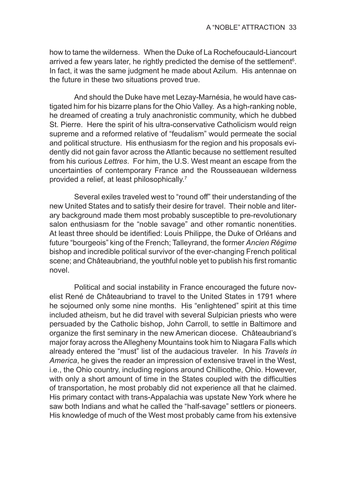how to tame the wilderness. When the Duke of La Rochefoucauld-Liancourt arrived a few years later, he rightly predicted the demise of the settlement<sup>6</sup>. In fact, it was the same judgment he made about Azilum. His antennae on the future in these two situations proved true.

And should the Duke have met Lezay-Marnésia, he would have castigated him for his bizarre plans for the Ohio Valley. As a high-ranking noble, he dreamed of creating a truly anachronistic community, which he dubbed St. Pierre. Here the spirit of his ultra-conservative Catholicism would reign supreme and a reformed relative of "feudalism" would permeate the social and political structure. His enthusiasm for the region and his proposals evidently did not gain favor across the Atlantic because no settlement resulted from his curious *Lettres*. For him, the U.S. West meant an escape from the uncertainties of contemporary France and the Rousseauean wilderness provided a relief, at least philosophically.7

Several exiles traveled west to "round off" their understanding of the new United States and to satisfy their desire for travel. Their noble and literary background made them most probably susceptible to pre-revolutionary salon enthusiasm for the "noble savage" and other romantic nonentities. At least three should be identified: Louis Philippe, the Duke of Orléans and future "bourgeois" king of the French; Talleyrand, the former *Ancien Régime*  bishop and incredible political survivor of the ever-changing French political scene; and Châteaubriand, the youthful noble yet to publish his first romantic novel.

Political and social instability in France encouraged the future novelist René de Châteaubriand to travel to the United States in 1791 where he sojourned only some nine months. His "enlightened" spirit at this time included atheism, but he did travel with several Sulpician priests who were persuaded by the Catholic bishop, John Carroll, to settle in Baltimore and organize the first seminary in the new American diocese. Châteaubriand's major foray across the Allegheny Mountains took him to Niagara Falls which already entered the "must" list of the audacious traveler. In his *Travels in America*, he gives the reader an impression of extensive travel in the West, i.e., the Ohio country, including regions around Chillicothe, Ohio. However, with only a short amount of time in the States coupled with the difficulties of transportation, he most probably did not experience all that he claimed. His primary contact with trans-Appalachia was upstate New York where he saw both Indians and what he called the "half-savage" settlers or pioneers. His knowledge of much of the West most probably came from his extensive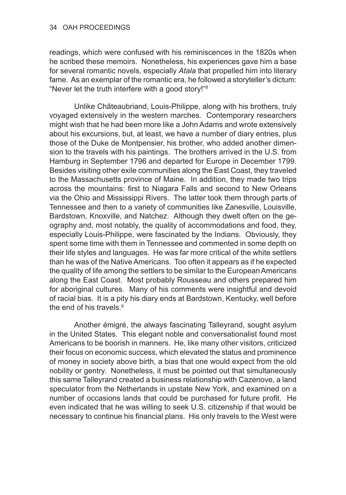readings, which were confused with his reminiscences in the 1820s when he scribed these memoirs. Nonetheless, his experiences gave him a base for several romantic novels, especially *Atala* that propelled him into literary fame. As an exemplar of the romantic era, he followed a storyteller's dictum: "Never let the truth interfere with a good story!"<sup>8</sup>

Unlike Châteaubriand, Louis-Philippe, along with his brothers, truly voyaged extensively in the western marches. Contemporary researchers might wish that he had been more like a John Adams and wrote extensively about his excursions, but, at least, we have a number of diary entries, plus those of the Duke de Montpensier, his brother, who added another dimension to the travels with his paintings. The brothers arrived in the U.S. from Hamburg in September 1796 and departed for Europe in December 1799. Besides visiting other exile communities along the East Coast, they traveled to the Massachusetts province of Maine. In addition, they made two trips across the mountains: first to Niagara Falls and second to New Orleans via the Ohio and Mississippi Rivers. The latter took them through parts of Tennessee and then to a variety of communities like Zanesville, Louisville, Bardstown, Knoxville, and Natchez. Although they dwelt often on the geography and, most notably, the quality of accommodations and food, they, especially Louis-Philippe, were fascinated by the Indians. Obviously, they spent some time with them in Tennessee and commented in some depth on their life styles and languages. He was far more critical of the white settlers than he was of the Native Americans. Too often it appears as if he expected the quality of life among the settlers to be similar to the European Americans along the East Coast. Most probably Rousseau and others prepared him for aboriginal cultures. Many of his comments were insightful and devoid of racial bias. It is a pity his diary ends at Bardstown, Kentucky, well before the end of his travels. $9$ 

Another émigré, the always fascinating Talleyrand, sought asylum in the United States. This elegant noble and conversationalist found most Americans to be boorish in manners. He, like many other visitors, criticized their focus on economic success, which elevated the status and prominence of money in society above birth, a bias that one would expect from the old nobility or gentry. Nonetheless, it must be pointed out that simultaneously this same Talleyrand created a business relationship with Cazenove, a land speculator from the Netherlands in upstate New York, and examined on a number of occasions lands that could be purchased for future profit. He even indicated that he was willing to seek U.S. citizenship if that would be necessary to continue his financial plans. His only travels to the West were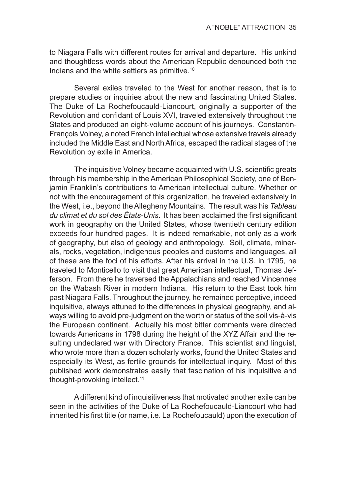to Niagara Falls with different routes for arrival and departure. His unkind and thoughtless words about the American Republic denounced both the Indians and the white settlers as primitive.10

Several exiles traveled to the West for another reason, that is to prepare studies or inquiries about the new and fascinating United States. The Duke of La Rochefoucauld-Liancourt, originally a supporter of the Revolution and confidant of Louis XVI, traveled extensively throughout the States and produced an eight-volume account of his journeys. Constantin-François Volney, a noted French intellectual whose extensive travels already included the Middle East and North Africa, escaped the radical stages of the Revolution by exile in America.

The inquisitive Volney became acquainted with U.S. scientific greats through his membership in the American Philosophical Society, one of Benjamin Franklin's contributions to American intellectual culture. Whether or not with the encouragement of this organization, he traveled extensively in the West, i.e., beyond the Allegheny Mountains. The result was his *Tableau du climat et du sol des États-Unis*. It has been acclaimed the first significant work in geography on the United States, whose twentieth century edition exceeds four hundred pages. It is indeed remarkable, not only as a work of geography, but also of geology and anthropology. Soil, climate, minerals, rocks, vegetation, indigenous peoples and customs and languages, all of these are the foci of his efforts. After his arrival in the U.S. in 1795, he traveled to Monticello to visit that great American intellectual, Thomas Jefferson. From there he traversed the Appalachians and reached Vincennes on the Wabash River in modern Indiana. His return to the East took him past Niagara Falls. Throughout the journey, he remained perceptive, indeed inquisitive, always attuned to the differences in physical geography, and always willing to avoid pre-judgment on the worth or status of the soil vis-à-vis the European continent. Actually his most bitter comments were directed towards Americans in 1798 during the height of the XYZ Affair and the resulting undeclared war with Directory France. This scientist and linguist, who wrote more than a dozen scholarly works, found the United States and especially its West, as fertile grounds for intellectual inquiry. Most of this published work demonstrates easily that fascination of his inquisitive and thought-provoking intellect.<sup>11</sup>

A different kind of inquisitiveness that motivated another exile can be seen in the activities of the Duke of La Rochefoucauld-Liancourt who had inherited his first title (or name, i.e. La Rochefoucauld) upon the execution of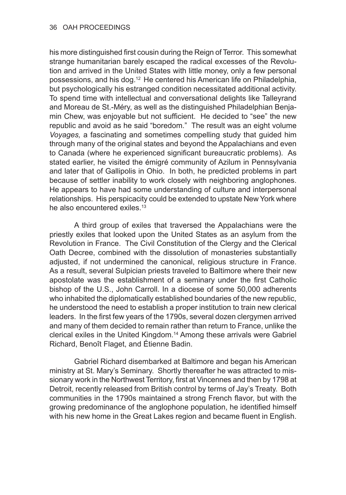his more distinguished first cousin during the Reign of Terror. This somewhat strange humanitarian barely escaped the radical excesses of the Revolution and arrived in the United States with little money, only a few personal possessions, and his dog.12 He centered his American life on Philadelphia, but psychologically his estranged condition necessitated additional activity. To spend time with intellectual and conversational delights like Talleyrand and Moreau de St.-Méry, as well as the distinguished Philadelphian Benjamin Chew, was enjoyable but not sufficient. He decided to "see" the new republic and avoid as he said "boredom." The result was an eight volume *Voyages,* a fascinating and sometimes compelling study that guided him through many of the original states and beyond the Appalachians and even to Canada (where he experienced significant bureaucratic problems). As stated earlier, he visited the émigré community of Azilum in Pennsylvania and later that of Gallipolis in Ohio. In both, he predicted problems in part because of settler inability to work closely with neighboring anglophones. He appears to have had some understanding of culture and interpersonal relationships. His perspicacity could be extended to upstate New York where he also encountered exiles.<sup>13</sup>

A third group of exiles that traversed the Appalachians were the priestly exiles that looked upon the United States as an asylum from the Revolution in France. The Civil Constitution of the Clergy and the Clerical Oath Decree, combined with the dissolution of monasteries substantially adjusted, if not undermined the canonical, religious structure in France. As a result, several Sulpician priests traveled to Baltimore where their new apostolate was the establishment of a seminary under the first Catholic bishop of the U.S., John Carroll. In a diocese of some 50,000 adherents who inhabited the diplomatically established boundaries of the new republic, he understood the need to establish a proper institution to train new clerical leaders. In the first few years of the 1790s, several dozen clergymen arrived and many of them decided to remain rather than return to France, unlike the clerical exiles in the United Kingdom.14 Among these arrivals were Gabriel Richard, Benoît Flaget, and Étienne Badin.

Gabriel Richard disembarked at Baltimore and began his American ministry at St. Mary's Seminary. Shortly thereafter he was attracted to missionary work in the Northwest Territory, first at Vincennes and then by 1798 at Detroit, recently released from British control by terms of Jay's Treaty. Both communities in the 1790s maintained a strong French flavor, but with the growing predominance of the anglophone population, he identified himself with his new home in the Great Lakes region and became fluent in English.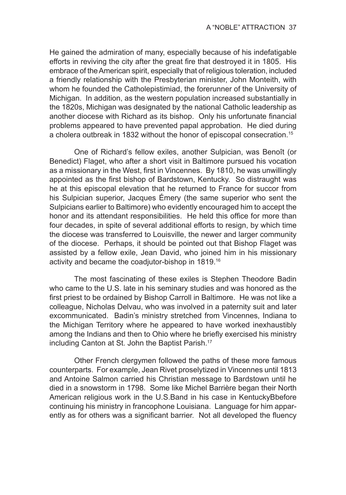He gained the admiration of many, especially because of his indefatigable efforts in reviving the city after the great fire that destroyed it in 1805. His embrace of the American spirit, especially that of religious toleration, included a friendly relationship with the Presbyterian minister, John Monteith, with whom he founded the Catholepistimiad, the forerunner of the University of Michigan. In addition, as the western population increased substantially in the 1820s, Michigan was designated by the national Catholic leadership as another diocese with Richard as its bishop. Only his unfortunate financial problems appeared to have prevented papal approbation. He died during a cholera outbreak in 1832 without the honor of episcopal consecration.<sup>15</sup>

One of Richard's fellow exiles, another Sulpician, was Benoît (or Benedict) Flaget, who after a short visit in Baltimore pursued his vocation as a missionary in the West, first in Vincennes. By 1810, he was unwillingly appointed as the first bishop of Bardstown, Kentucky. So distraught was he at this episcopal elevation that he returned to France for succor from his Sulpician superior, Jacques Émery (the same superior who sent the Sulpicians earlier to Baltimore) who evidently encouraged him to accept the honor and its attendant responsibilities. He held this office for more than four decades, in spite of several additional efforts to resign, by which time the diocese was transferred to Louisville, the newer and larger community of the diocese. Perhaps, it should be pointed out that Bishop Flaget was assisted by a fellow exile, Jean David, who joined him in his missionary activity and became the coadjutor-bishop in 1819.16

The most fascinating of these exiles is Stephen Theodore Badin who came to the U.S. late in his seminary studies and was honored as the first priest to be ordained by Bishop Carroll in Baltimore. He was not like a colleague, Nicholas Delvau, who was involved in a paternity suit and later excommunicated. Badin's ministry stretched from Vincennes, Indiana to the Michigan Territory where he appeared to have worked inexhaustibly among the Indians and then to Ohio where he briefly exercised his ministry including Canton at St. John the Baptist Parish.17

Other French clergymen followed the paths of these more famous counterparts. For example, Jean Rivet proselytized in Vincennes until 1813 and Antoine Salmon carried his Christian message to Bardstown until he died in a snowstorm in 1798. Some like Michel Barrière began their North American religious work in the U.S.Band in his case in KentuckyBbefore continuing his ministry in francophone Louisiana. Language for him apparently as for others was a significant barrier. Not all developed the fluency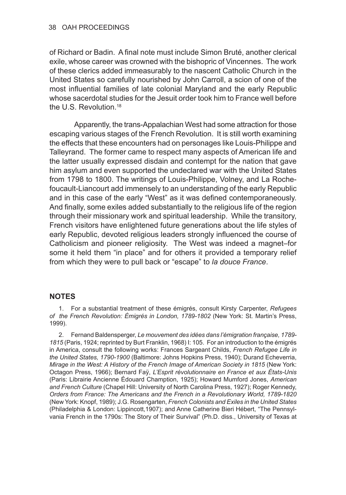of Richard or Badin. A final note must include Simon Bruté, another clerical exile, whose career was crowned with the bishopric of Vincennes. The work of these clerics added immeasurably to the nascent Catholic Church in the United States so carefully nourished by John Carroll, a scion of one of the most influential families of late colonial Maryland and the early Republic whose sacerdotal studies for the Jesuit order took him to France well before the U.S. Revolution.18

Apparently, the trans-Appalachian West had some attraction for those escaping various stages of the French Revolution. It is still worth examining the effects that these encounters had on personages like Louis-Philippe and Talleyrand. The former came to respect many aspects of American life and the latter usually expressed disdain and contempt for the nation that gave him asylum and even supported the undeclared war with the United States from 1798 to 1800. The writings of Louis-Philippe, Volney, and La Rochefoucault-Liancourt add immensely to an understanding of the early Republic and in this case of the early "West" as it was defined contemporaneously. And finally, some exiles added substantially to the religious life of the region through their missionary work and spiritual leadership. While the transitory, French visitors have enlightened future generations about the life styles of early Republic, devoted religious leaders strongly influenced the course of Catholicism and pioneer religiosity. The West was indeed a magnet–for some it held them "in place" and for others it provided a temporary relief from which they were to pull back or "escape" to *la douce France*.

## **NOTES**

1. For a substantial treatment of these émigrés, consult Kirsty Carpenter, *Refugees of the French Revolution: Émigrés in London, 1789-1802* (New York: St. Martin's Press, 1999).

2. Fernand Baldensperger, *Le mouvement des idées dans l'émigration française, 1789- 1815* (Paris, 1924; reprinted by Burt Franklin, 1968) I: 105. For an introduction to the émigrés in America, consult the following works: Frances Sargeant Childs, *French Refugee Life in the United States, 1790-1900* (Baltimore: Johns Hopkins Press, 1940); Durand Echeverria, *Mirage in the West: A History of the French Image of American Society in 1815* (New York: Octagon Press, 1966); Bernard Faÿ, *L'Esprit révolutionnaire en France et aux États-Unis* (Paris: Librairie Ancienne Édouard Chamption, 1925); Howard Mumford Jones, *American and French Culture* (Chapel Hill: University of North Carolina Press, 1927); Roger Kennedy, *Orders from France: The Americans and the French in a Revolutionary World, 1789-1820* (New York: Knopf, 1989); J.G. Rosengarten, *French Colonists and Exiles in the United States*  (Philadelphia & London: Lippincott,1907); and Anne Catherine Bieri Hébert, "The Pennsylvania French in the 1790s: The Story of Their Survival" (Ph.D. diss., University of Texas at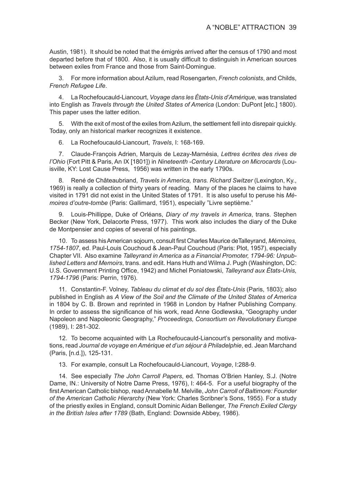Austin, 1981). It should be noted that the émigrés arrived after the census of 1790 and most departed before that of 1800. Also, it is usually difficult to distinguish in American sources between exiles from France and those from Saint-Domingue.

3. For more information about Azilum, read Rosengarten, *French colonists*, and Childs, *French Refugee Life*.

4. La Rochefoucauld-Liancourt, *Voyage dans les États-Unis d'Amérique*, was translated into English as *Travels through the United States of America* (London: DuPont [etc.] 1800). This paper uses the latter edition.

5. With the exit of most of the exiles from Azilum, the settlement fell into disrepair quickly. Today, only an historical marker recognizes it existence.

6. La Rochefoucauld-Liancourt, *Travels*, I: 168-169.

7. Claude-François Adrien, Marquis de Lezay-Marnésia, *Lettres écrites des rives de l'Ohio* (Fort Pitt & Paris, An IX [1801]) in *Nineteenth -Century Literature on Microcards* (Louisville, KY: Lost Cause Press, 1956) was written in the early 1790s.

8. René de Châteaubriand, *Travels in America, trans. Richard Switzer* (Lexington, Ky., 1969) is really a collection of thirty years of reading. Many of the places he claims to have visited in 1791 did not exist in the United States of 1791. It is also useful to peruse his *Mémoires d'outre-tombe* (Paris: Gallimard, 1951), especially "Livre septième."

9. Louis-Phillippe, Duke of Orléans, *Diary of my travels in America*, trans. Stephen Becker (New York, Delacorte Press, 1977). This work also includes the diary of the Duke de Montpensier and copies of several of his paintings.

10. To assess his American sojourn, consult first Charles Maurice deTalleyrand, *Mémoires, 1754-1807*, ed. Paul-Louis Couchoud & Jean-Paul Couchoud (Paris: Plot, 1957), especially Chapter VII. Also examine *Talleyrand in America as a Financial Promoter, 1794-96: Unpublished Letters and Memoirs*, trans. and edit. Hans Huth and Wilma J. Pugh (Washington, DC: U.S. Government Printing Office, 1942) and Michel Poniatowski, *Talleyrand aux États-Unis, 1794-1796* (Paris: Perrin, 1976).

11. Constantin-F. Volney, *Tableau du climat et du sol des États-Unis* (Paris, 1803); also published in English as *A View of the Soil and the Climate of the United States of America* in 1804 by C. B. Brown and reprinted in 1968 in London by Hafner Publishing Company. In order to assess the significance of his work, read Anne Godlewska, "Geography under Napoleon and Napoleonic Geography," *Proceedings, Consortium on Revolutionary Europe* (1989), I: 281-302.

12. To become acquainted with La Rochefoucauld-Liancourt's personality and motivations, read *Journal de voyage en Amérique et d'un séjour à Philadelphie*, ed. Jean Marchand (Paris, [n.d.]), 125-131.

13. For example, consult La Rochefoucauld-Liancourt, *Voyage*, I:288-9.

14. See especially *The John Carroll Papers*, ed. Thomas O'Brien Hanley, S.J. (Notre Dame, IN.: University of Notre Dame Press, 1976), I: 464-5. For a useful biography of the first American Catholic bishop, read Annabelle M. Melville, *John Carroll of Baltimore: Founder of the American Catholic Hierarchy* (New York: Charles Scribner's Sons, 1955). For a study of the priestly exiles in England, consult Dominic Aidan Bellenger, *The French Exiled Clergy in the British Isles after 1789* (Bath, England: Downside Abbey, 1986).